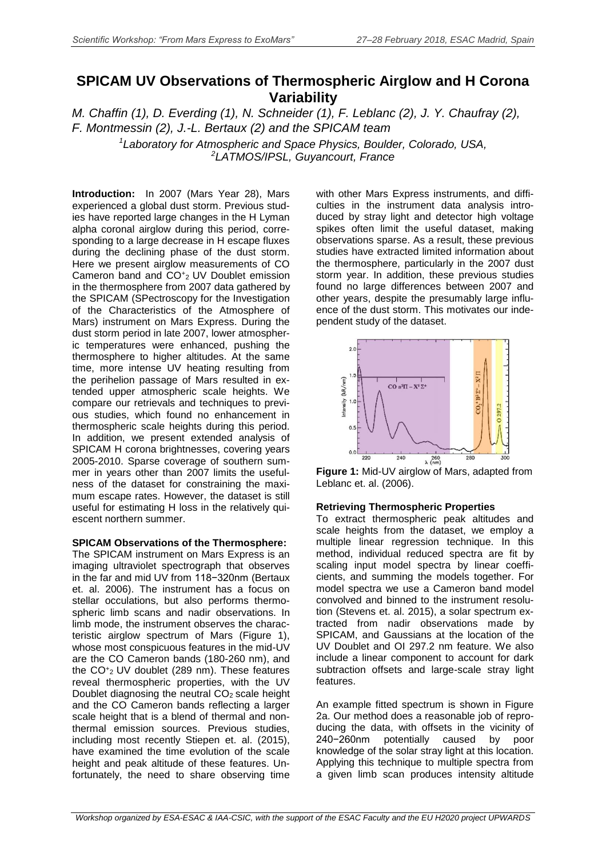## **SPICAM UV Observations of Thermospheric Airglow and H Corona Variability**

*M. Chaffin (1), D. Everding (1), N. Schneider (1), F. Leblanc (2), J. Y. Chaufray (2), F. Montmessin (2), J.-L. Bertaux (2) and the SPICAM team*

*<sup>1</sup>Laboratory for Atmospheric and Space Physics, Boulder, Colorado, USA, <sup>2</sup>LATMOS/IPSL, Guyancourt, France*

**Introduction:** In 2007 (Mars Year 28), Mars experienced a global dust storm. Previous studies have reported large changes in the H Lyman alpha coronal airglow during this period, corresponding to a large decrease in H escape fluxes during the declining phase of the dust storm. Here we present airglow measurements of CO Cameron band and CO<sup>+</sup>2 UV Doublet emission in the thermosphere from 2007 data gathered by the SPICAM (SPectroscopy for the Investigation of the Characteristics of the Atmosphere of Mars) instrument on Mars Express. During the dust storm period in late 2007, lower atmospheric temperatures were enhanced, pushing the thermosphere to higher altitudes. At the same time, more intense UV heating resulting from the perihelion passage of Mars resulted in extended upper atmospheric scale heights. We compare our retrievals and techniques to previous studies, which found no enhancement in thermospheric scale heights during this period. In addition, we present extended analysis of SPICAM H corona brightnesses, covering years 2005-2010. Sparse coverage of southern summer in years other than 2007 limits the usefulness of the dataset for constraining the maximum escape rates. However, the dataset is still useful for estimating H loss in the relatively quiescent northern summer.

## **SPICAM Observations of the Thermosphere:**

The SPICAM instrument on Mars Express is an imaging ultraviolet spectrograph that observes in the far and mid UV from 118−320nm (Bertaux et. al. 2006). The instrument has a focus on stellar occulations, but also performs thermospheric limb scans and nadir observations. In limb mode, the instrument observes the characteristic airglow spectrum of Mars (Figure 1), whose most conspicuous features in the mid-UV are the CO Cameron bands (180-260 nm), and the  $CO_{2}^{+}$  UV doublet (289 nm). These features reveal thermospheric properties, with the UV Doublet diagnosing the neutral  $CO<sub>2</sub>$  scale height and the CO Cameron bands reflecting a larger scale height that is a blend of thermal and nonthermal emission sources. Previous studies, including most recently Stiepen et. al. (2015), have examined the time evolution of the scale height and peak altitude of these features. Unfortunately, the need to share observing time

with other Mars Express instruments, and difficulties in the instrument data analysis introduced by stray light and detector high voltage spikes often limit the useful dataset, making observations sparse. As a result, these previous studies have extracted limited information about the thermosphere, particularly in the 2007 dust storm year. In addition, these previous studies found no large differences between 2007 and other years, despite the presumably large influence of the dust storm. This motivates our independent study of the dataset.



**Figure 1:** Mid-UV airglow of Mars, adapted from Leblanc et. al. (2006).

## **Retrieving Thermospheric Properties**

To extract thermospheric peak altitudes and scale heights from the dataset, we employ a multiple linear regression technique. In this method, individual reduced spectra are fit by scaling input model spectra by linear coefficients, and summing the models together. For model spectra we use a Cameron band model convolved and binned to the instrument resolution (Stevens et. al. 2015), a solar spectrum extracted from nadir observations made by SPICAM, and Gaussians at the location of the UV Doublet and OI 297.2 nm feature. We also include a linear component to account for dark subtraction offsets and large-scale stray light features.

An example fitted spectrum is shown in Figure 2a. Our method does a reasonable job of reproducing the data, with offsets in the vicinity of 240−260nm potentially caused by poor knowledge of the solar stray light at this location. Applying this technique to multiple spectra from a given limb scan produces intensity altitude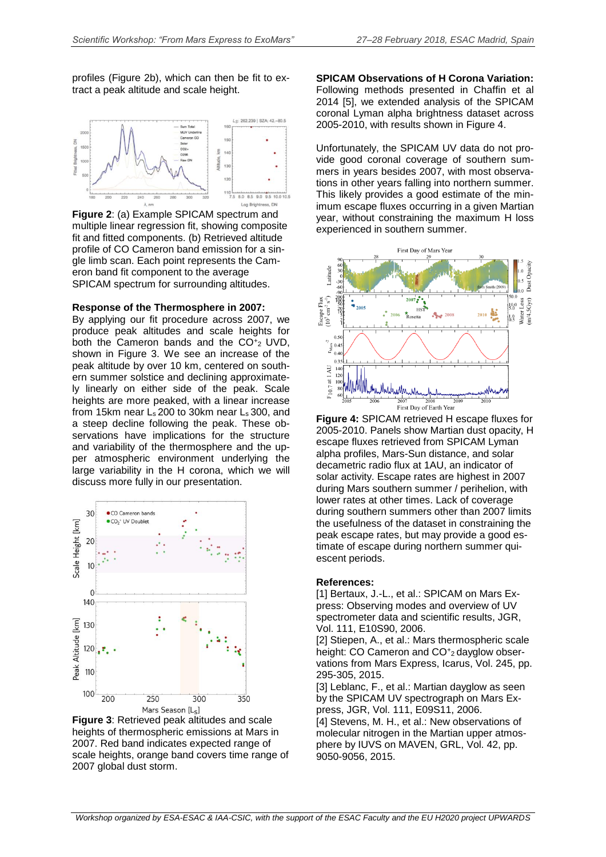profiles (Figure 2b), which can then be fit to extract a peak altitude and scale height.



**Figure 2**: (a) Example SPICAM spectrum and multiple linear regression fit, showing composite fit and fitted components. (b) Retrieved altitude profile of CO Cameron band emission for a single limb scan. Each point represents the Cameron band fit component to the average SPICAM spectrum for surrounding altitudes.

**Response of the Thermosphere in 2007:**

By applying our fit procedure across 2007, we produce peak altitudes and scale heights for both the Cameron bands and the  $CO_{2}^{+2}$  UVD, shown in Figure 3. We see an increase of the peak altitude by over 10 km, centered on southern summer solstice and declining approximately linearly on either side of the peak. Scale heights are more peaked, with a linear increase from 15km near  $L_s$  200 to 30km near  $L_s$  300, and a steep decline following the peak. These observations have implications for the structure and variability of the thermosphere and the upper atmospheric environment underlying the large variability in the H corona, which we will discuss more fully in our presentation.



**Figure 3**: Retrieved peak altitudes and scale heights of thermospheric emissions at Mars in 2007. Red band indicates expected range of scale heights, orange band covers time range of 2007 global dust storm.

**SPICAM Observations of H Corona Variation:** Following methods presented in Chaffin et al 2014 [5], we extended analysis of the SPICAM coronal Lyman alpha brightness dataset across 2005-2010, with results shown in Figure 4.

Unfortunately, the SPICAM UV data do not provide good coronal coverage of southern summers in years besides 2007, with most observations in other years falling into northern summer. This likely provides a good estimate of the minimum escape fluxes occurring in a given Martian year, without constraining the maximum H loss experienced in southern summer.



**Figure 4:** SPICAM retrieved H escape fluxes for 2005-2010. Panels show Martian dust opacity, H escape fluxes retrieved from SPICAM Lyman alpha profiles, Mars-Sun distance, and solar decametric radio flux at 1AU, an indicator of solar activity. Escape rates are highest in 2007 during Mars southern summer / perihelion, with lower rates at other times. Lack of coverage during southern summers other than 2007 limits the usefulness of the dataset in constraining the peak escape rates, but may provide a good estimate of escape during northern summer quiescent periods.

## **References:**

[1] Bertaux, J.-L., et al.: SPICAM on Mars Express: Observing modes and overview of UV spectrometer data and scientific results, JGR, Vol. 111, E10S90, 2006.

[2] Stiepen, A., et al.: Mars thermospheric scale height: CO Cameron and CO<sup>+</sup>2 dayglow observations from Mars Express, Icarus, Vol. 245, pp. 295-305, 2015.

[3] Leblanc, F., et al.: Martian dayglow as seen by the SPICAM UV spectrograph on Mars Express, JGR, Vol. 111, E09S11, 2006. [4] Stevens, M. H., et al.: New observations of molecular nitrogen in the Martian upper atmosphere by IUVS on MAVEN, GRL, Vol. 42, pp. 9050-9056, 2015.